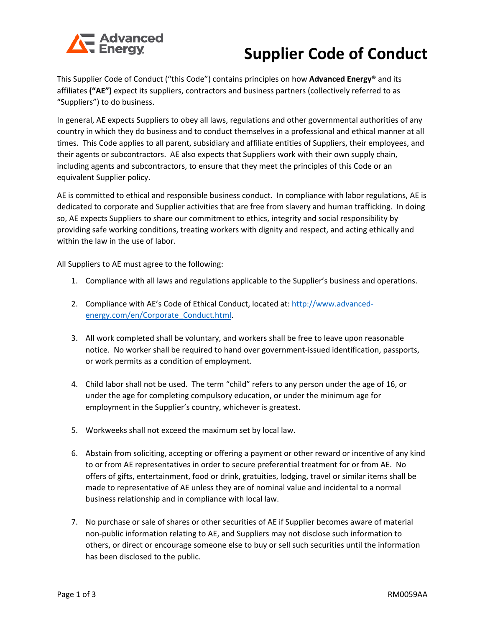

## **Supplier Code of Conduct**

This Supplier Code of Conduct ("this Code") contains principles on how **Advanced Energy®** and its affiliates **("AE")** expect its suppliers, contractors and business partners (collectively referred to as "Suppliers") to do business.

In general, AE expects Suppliers to obey all laws, regulations and other governmental authorities of any country in which they do business and to conduct themselves in a professional and ethical manner at all times. This Code applies to all parent, subsidiary and affiliate entities of Suppliers, their employees, and their agents or subcontractors. AE also expects that Suppliers work with their own supply chain, including agents and subcontractors, to ensure that they meet the principles of this Code or an equivalent Supplier policy.

AE is committed to ethical and responsible business conduct. In compliance with labor regulations, AE is dedicated to corporate and Supplier activities that are free from slavery and human trafficking. In doing so, AE expects Suppliers to share our commitment to ethics, integrity and social responsibility by providing safe working conditions, treating workers with dignity and respect, and acting ethically and within the law in the use of labor.

All Suppliers to AE must agree to the following:

- 1. Compliance with all laws and regulations applicable to the Supplier's business and operations.
- 2. Compliance with AE's Code of Ethical Conduct, located at[: http://www.advanced](http://www.advanced-energy.com/en/Corporate_Conduct.html)[energy.com/en/Corporate\\_Conduct.html.](http://www.advanced-energy.com/en/Corporate_Conduct.html)
- 3. All work completed shall be voluntary, and workers shall be free to leave upon reasonable notice. No worker shall be required to hand over government-issued identification, passports, or work permits as a condition of employment.
- 4. Child labor shall not be used. The term "child" refers to any person under the age of 16, or under the age for completing compulsory education, or under the minimum age for employment in the Supplier's country, whichever is greatest.
- 5. Workweeks shall not exceed the maximum set by local law.
- 6. Abstain from soliciting, accepting or offering a payment or other reward or incentive of any kind to or from AE representatives in order to secure preferential treatment for or from AE. No offers of gifts, entertainment, food or drink, gratuities, lodging, travel or similar items shall be made to representative of AE unless they are of nominal value and incidental to a normal business relationship and in compliance with local law.
- 7. No purchase or sale of shares or other securities of AE if Supplier becomes aware of material non-public information relating to AE, and Suppliers may not disclose such information to others, or direct or encourage someone else to buy or sell such securities until the information has been disclosed to the public.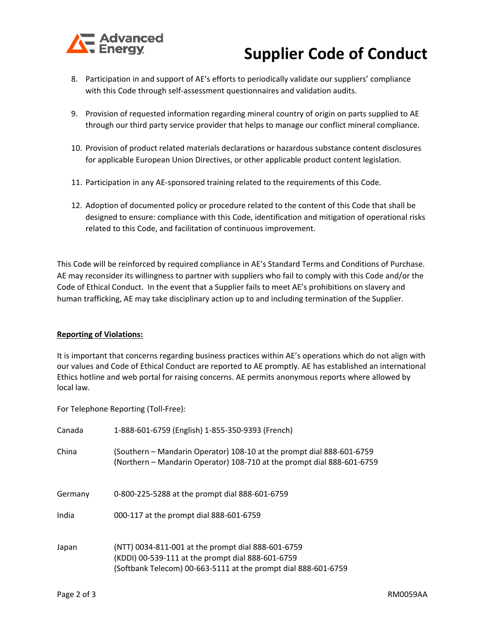

## **Supplier Code of Conduct**

- 8. Participation in and support of AE's efforts to periodically validate our suppliers' compliance with this Code through self-assessment questionnaires and validation audits.
- 9. Provision of requested information regarding mineral country of origin on parts supplied to AE through our third party service provider that helps to manage our conflict mineral compliance.
- 10. Provision of product related materials declarations or hazardous substance content disclosures for applicable European Union Directives, or other applicable product content legislation.
- 11. Participation in any AE-sponsored training related to the requirements of this Code.
- 12. Adoption of documented policy or procedure related to the content of this Code that shall be designed to ensure: compliance with this Code, identification and mitigation of operational risks related to this Code, and facilitation of continuous improvement.

This Code will be reinforced by required compliance in AE's Standard Terms and Conditions of Purchase. AE may reconsider its willingness to partner with suppliers who fail to comply with this Code and/or the Code of Ethical Conduct. In the event that a Supplier fails to meet AE's prohibitions on slavery and human trafficking, AE may take disciplinary action up to and including termination of the Supplier.

## **Reporting of Violations:**

It is important that concerns regarding business practices within AE's operations which do not align with our values and Code of Ethical Conduct are reported to AE promptly. AE has established an international Ethics hotline and web portal for raising concerns. AE permits anonymous reports where allowed by local law.

For Telephone Reporting (Toll-Free):

| Canada  | 1-888-601-6759 (English) 1-855-350-9393 (French)                                                                                                                          |
|---------|---------------------------------------------------------------------------------------------------------------------------------------------------------------------------|
| China   | (Southern - Mandarin Operator) 108-10 at the prompt dial 888-601-6759<br>(Northern - Mandarin Operator) 108-710 at the prompt dial 888-601-6759                           |
| Germany | 0-800-225-5288 at the prompt dial 888-601-6759                                                                                                                            |
| India   | 000-117 at the prompt dial 888-601-6759                                                                                                                                   |
| Japan   | (NTT) 0034-811-001 at the prompt dial 888-601-6759<br>(KDDI) 00-539-111 at the prompt dial 888-601-6759<br>(Softbank Telecom) 00-663-5111 at the prompt dial 888-601-6759 |